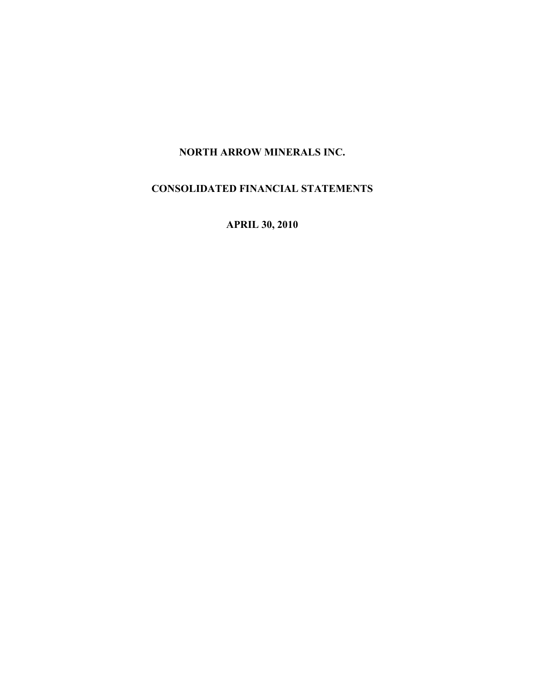# NORTH ARROW MINERALS INC.

# CONSOLIDATED FINANCIAL STATEMENTS

APRIL 30, 2010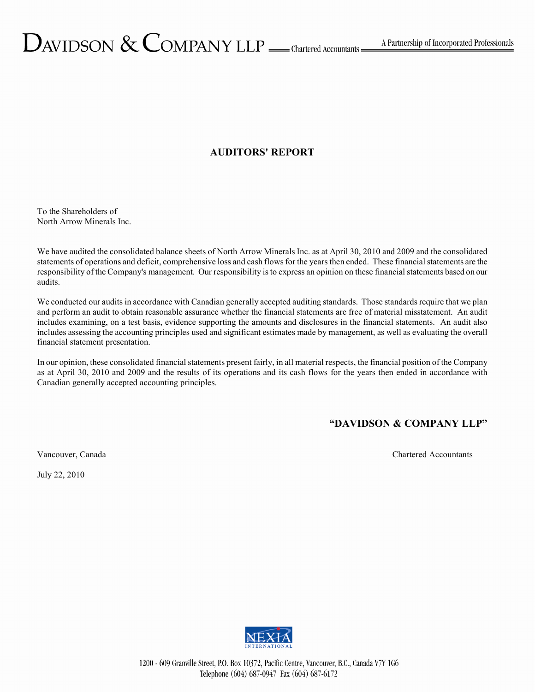# AUDITORS' REPORT

To the Shareholders of North Arrow Minerals Inc.

We have audited the consolidated balance sheets of North Arrow Minerals Inc. as at April 30, 2010 and 2009 and the consolidated statements of operations and deficit, comprehensive loss and cash flows for the years then ended. These financial statements are the responsibility of the Company's management. Our responsibility is to express an opinion on these financial statements based on our audits.

We conducted our audits in accordance with Canadian generally accepted auditing standards. Those standards require that we plan and perform an audit to obtain reasonable assurance whether the financial statements are free of material misstatement. An audit includes examining, on a test basis, evidence supporting the amounts and disclosures in the financial statements. An audit also includes assessing the accounting principles used and significant estimates made by management, as well as evaluating the overall financial statement presentation.

In our opinion, these consolidated financial statements present fairly, in all material respects, the financial position of the Company as at April 30, 2010 and 2009 and the results of its operations and its cash flows for the years then ended in accordance with Canadian generally accepted accounting principles.

# "DAVIDSON & COMPANY LLP"

Vancouver, Canada Chartered Accountants Chartered Accountants

July 22, 2010

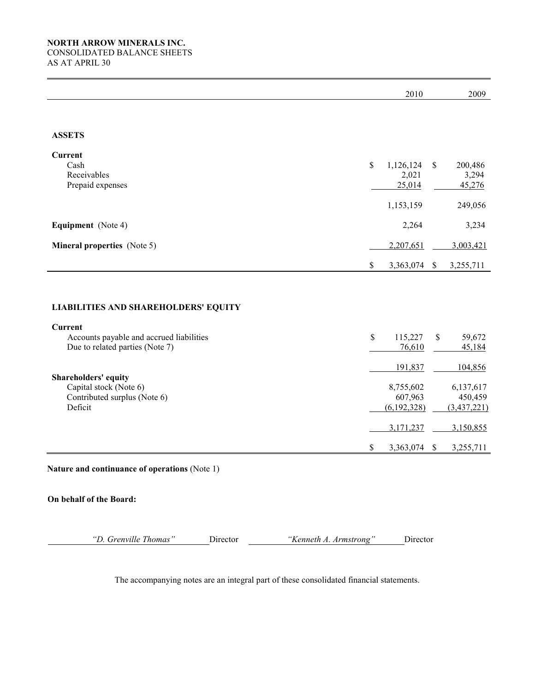|                                                                                                  | 2010                                |              | 2009                                |
|--------------------------------------------------------------------------------------------------|-------------------------------------|--------------|-------------------------------------|
|                                                                                                  |                                     |              |                                     |
| <b>ASSETS</b>                                                                                    |                                     |              |                                     |
| <b>Current</b><br>Cash<br>Receivables<br>Prepaid expenses                                        | \$<br>1,126,124<br>2,021<br>25,014  | \$           | 200,486<br>3,294<br>45,276          |
|                                                                                                  | 1,153,159                           |              | 249,056                             |
| <b>Equipment</b> (Note 4)                                                                        | 2,264                               |              | 3,234                               |
| <b>Mineral properties</b> (Note 5)                                                               | 2,207,651                           |              | 3,003,421                           |
|                                                                                                  | \$<br>3,363,074                     | $\mathbb{S}$ | 3,255,711                           |
|                                                                                                  |                                     |              |                                     |
| <b>LIABILITIES AND SHAREHOLDERS' EQUITY</b>                                                      |                                     |              |                                     |
| Current                                                                                          |                                     |              |                                     |
| Accounts payable and accrued liabilities<br>Due to related parties (Note 7)                      | \$<br>115,227<br>76,610             | \$           | 59,672<br>45,184                    |
|                                                                                                  | 191,837                             |              | 104,856                             |
| <b>Shareholders' equity</b><br>Capital stock (Note 6)<br>Contributed surplus (Note 6)<br>Deficit | 8,755,602<br>607,963<br>(6,192,328) |              | 6,137,617<br>450,459<br>(3,437,221) |
|                                                                                                  | 3,171,237                           |              | 3,150,855                           |
|                                                                                                  | \$<br>3,363,074                     | \$           | 3,255,711                           |

Nature and continuance of operations (Note 1)

On behalf of the Board:

"D. Grenville Thomas" Director "Kenneth A. Armstrong" Director

The accompanying notes are an integral part of these consolidated financial statements.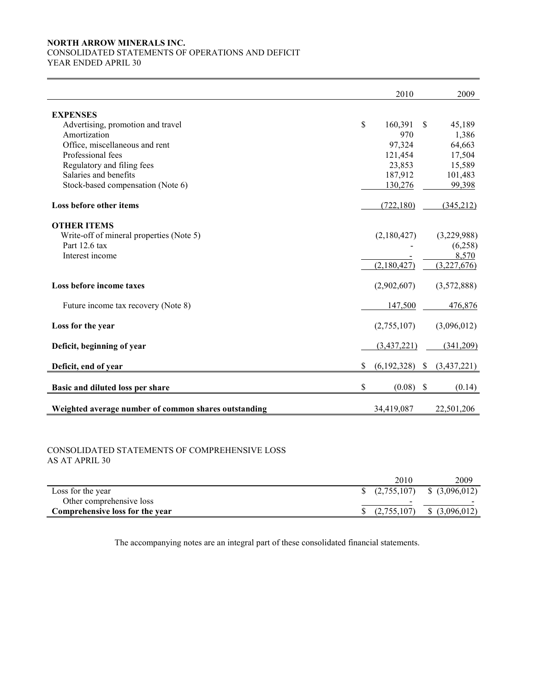### NORTH ARROW MINERALS INC. CONSOLIDATED STATEMENTS OF OPERATIONS AND DEFICIT

YEAR ENDED APRIL 30

|                                                      | 2010              |               | 2009        |
|------------------------------------------------------|-------------------|---------------|-------------|
| <b>EXPENSES</b>                                      |                   |               |             |
| Advertising, promotion and travel                    | \$<br>160,391     | <sup>\$</sup> | 45,189      |
| Amortization                                         | 970               |               | 1,386       |
| Office, miscellaneous and rent                       | 97,324            |               | 64,663      |
| Professional fees                                    | 121,454           |               | 17,504      |
| Regulatory and filing fees                           | 23,853            |               | 15,589      |
| Salaries and benefits                                | 187,912           |               | 101,483     |
| Stock-based compensation (Note 6)                    | 130,276           |               | 99,398      |
| Loss before other items                              | (722, 180)        |               | (345,212)   |
| <b>OTHER ITEMS</b>                                   |                   |               |             |
| Write-off of mineral properties (Note 5)             | (2,180,427)       |               | (3,229,988) |
| Part 12.6 tax                                        |                   |               | (6,258)     |
| Interest income                                      |                   |               | 8,570       |
|                                                      | (2,180,427)       |               | (3,227,676) |
| Loss before income taxes                             | (2,902,607)       |               | (3,572,888) |
| Future income tax recovery (Note 8)                  | 147,500           |               | 476,876     |
| Loss for the year                                    | (2,755,107)       |               | (3,096,012) |
| Deficit, beginning of year                           | (3,437,221)       |               | (341,209)   |
| Deficit, end of year                                 | \$<br>(6,192,328) | <sup>\$</sup> | (3,437,221) |
| Basic and diluted loss per share                     | \$<br>(0.08)      | $\mathcal{S}$ | (0.14)      |
| Weighted average number of common shares outstanding | 34,419,087        |               | 22,501,206  |

### CONSOLIDATED STATEMENTS OF COMPREHENSIVE LOSS AS AT APRIL 30

|                                 | 2010                     | 2009                                                |
|---------------------------------|--------------------------|-----------------------------------------------------|
| Loss for the year               |                          | $\frac{1}{2}$ (2,755,107) $\frac{1}{2}$ (3,096,012) |
| Other comprehensive loss        | $\overline{\phantom{a}}$ |                                                     |
| Comprehensive loss for the year | (2,755,107)              | $$$ (3,096,012)                                     |

The accompanying notes are an integral part of these consolidated financial statements.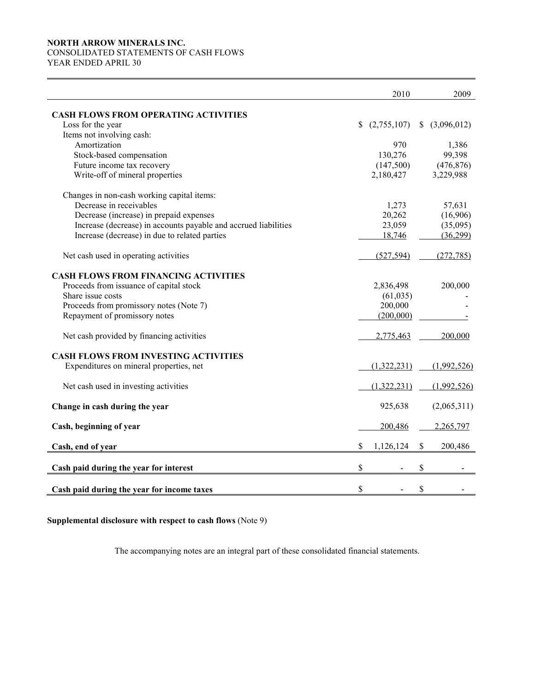# NORTH ARROW MINERALS INC. CONSOLIDATED STATEMENTS OF CASH FLOWS

YEAR ENDED APRIL 30

|                                                                 |               | 2010        | 2009          |
|-----------------------------------------------------------------|---------------|-------------|---------------|
| <b>CASH FLOWS FROM OPERATING ACTIVITIES</b>                     |               |             |               |
| Loss for the year                                               | S.            | (2,755,107) | \$(3,096,012) |
| Items not involving cash:                                       |               |             |               |
| Amortization                                                    |               | 970         | 1,386         |
| Stock-based compensation                                        |               | 130,276     | 99,398        |
| Future income tax recovery                                      |               | (147,500)   | (476, 876)    |
| Write-off of mineral properties                                 |               | 2,180,427   | 3,229,988     |
| Changes in non-cash working capital items:                      |               |             |               |
| Decrease in receivables                                         |               | 1,273       | 57,631        |
| Decrease (increase) in prepaid expenses                         |               | 20,262      | (16,906)      |
| Increase (decrease) in accounts payable and accrued liabilities |               | 23,059      | (35,095)      |
| Increase (decrease) in due to related parties                   |               | 18,746      | (36,299)      |
| Net cash used in operating activities                           |               | (527, 594)  | (272, 785)    |
| <b>CASH FLOWS FROM FINANCING ACTIVITIES</b>                     |               |             |               |
| Proceeds from issuance of capital stock                         |               | 2,836,498   | 200,000       |
| Share issue costs                                               |               | (61, 035)   |               |
| Proceeds from promissory notes (Note 7)                         |               | 200,000     |               |
| Repayment of promissory notes                                   |               | (200,000)   |               |
| Net cash provided by financing activities                       |               | 2,775,463   | 200,000       |
| <b>CASH FLOWS FROM INVESTING ACTIVITIES</b>                     |               |             |               |
| Expenditures on mineral properties, net                         |               | (1,322,231) | (1,992,526)   |
| Net cash used in investing activities                           |               | (1,322,231) | (1,992,526)   |
| Change in cash during the year                                  |               | 925,638     | (2,065,311)   |
| Cash, beginning of year                                         |               | 200,486     | 2,265,797     |
| Cash, end of year                                               | \$            | 1,126,124   | \$<br>200,486 |
|                                                                 | $\mathsf{\$}$ |             | \$            |
| Cash paid during the year for interest                          |               |             |               |
| Cash paid during the year for income taxes                      | \$            |             | \$            |

Supplemental disclosure with respect to cash flows (Note 9)

The accompanying notes are an integral part of these consolidated financial statements.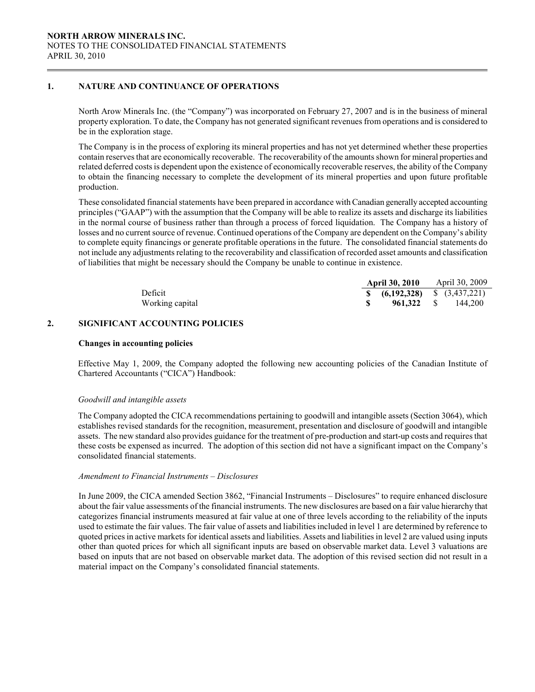### 1. NATURE AND CONTINUANCE OF OPERATIONS

 $\overline{a}$ 

North Arow Minerals Inc. (the "Company") was incorporated on February 27, 2007 and is in the business of mineral property exploration. To date, the Company has not generated significant revenues from operations and is considered to be in the exploration stage.

The Company is in the process of exploring its mineral properties and has not yet determined whether these properties contain reserves that are economically recoverable. The recoverability of the amounts shown for mineral properties and related deferred costs is dependent upon the existence of economically recoverable reserves, the ability of the Company to obtain the financing necessary to complete the development of its mineral properties and upon future profitable production.

 These consolidated financial statements have been prepared in accordance with Canadian generally accepted accounting principles ("GAAP") with the assumption that the Company will be able to realize its assets and discharge its liabilities in the normal course of business rather than through a process of forced liquidation. The Company has a history of losses and no current source of revenue. Continued operations of the Company are dependent on the Company's ability to complete equity financings or generate profitable operations in the future. The consolidated financial statements do not include any adjustments relating to the recoverability and classification of recorded asset amounts and classification of liabilities that might be necessary should the Company be unable to continue in existence.

|                 | <b>April 30, 2010</b>                               | April 30, 2009            |
|-----------------|-----------------------------------------------------|---------------------------|
| Deficit         | $\frac{1}{2}$ (6,192,328) $\frac{1}{2}$ (3,437,221) |                           |
| Working capital |                                                     | <b>961.322</b> \$ 144.200 |

### 2. SIGNIFICANT ACCOUNTING POLICIES

#### Changes in accounting policies

Effective May 1, 2009, the Company adopted the following new accounting policies of the Canadian Institute of Chartered Accountants ("CICA") Handbook:

#### Goodwill and intangible assets

The Company adopted the CICA recommendations pertaining to goodwill and intangible assets (Section 3064), which establishes revised standards for the recognition, measurement, presentation and disclosure of goodwill and intangible assets. The new standard also provides guidance for the treatment of pre-production and start-up costs and requires that these costs be expensed as incurred. The adoption of this section did not have a significant impact on the Company's consolidated financial statements.

### Amendment to Financial Instruments – Disclosures

In June 2009, the CICA amended Section 3862, "Financial Instruments – Disclosures" to require enhanced disclosure about the fair value assessments of the financial instruments. The new disclosures are based on a fair value hierarchy that categorizes financial instruments measured at fair value at one of three levels according to the reliability of the inputs used to estimate the fair values. The fair value of assets and liabilities included in level 1 are determined by reference to quoted prices in active markets for identical assets and liabilities. Assets and liabilities in level 2 are valued using inputs other than quoted prices for which all significant inputs are based on observable market data. Level 3 valuations are based on inputs that are not based on observable market data. The adoption of this revised section did not result in a material impact on the Company's consolidated financial statements.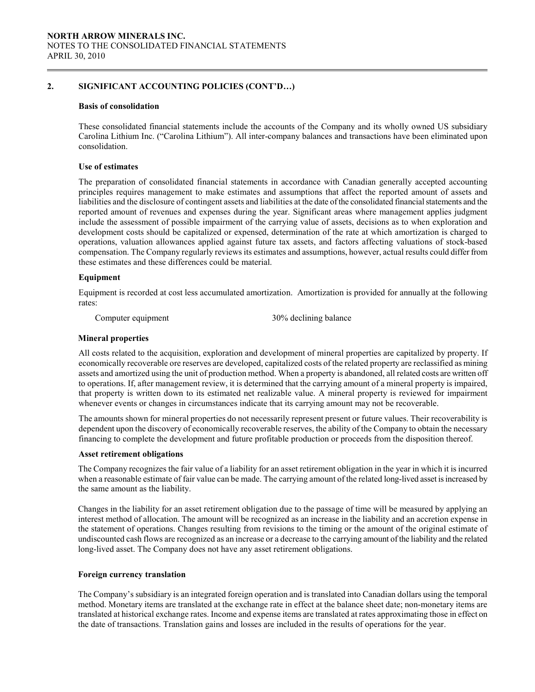### 2. SIGNIFICANT ACCOUNTING POLICIES (CONT'D…)

#### Basis of consolidation

 $\overline{a}$ 

 These consolidated financial statements include the accounts of the Company and its wholly owned US subsidiary Carolina Lithium Inc. ("Carolina Lithium"). All inter-company balances and transactions have been eliminated upon consolidation.

#### Use of estimates

The preparation of consolidated financial statements in accordance with Canadian generally accepted accounting principles requires management to make estimates and assumptions that affect the reported amount of assets and liabilities and the disclosure of contingent assets and liabilities at the date of the consolidated financial statements and the reported amount of revenues and expenses during the year. Significant areas where management applies judgment include the assessment of possible impairment of the carrying value of assets, decisions as to when exploration and development costs should be capitalized or expensed, determination of the rate at which amortization is charged to operations, valuation allowances applied against future tax assets, and factors affecting valuations of stock-based compensation. The Company regularly reviews its estimates and assumptions, however, actual results could differ from these estimates and these differences could be material.

#### Equipment

 Equipment is recorded at cost less accumulated amortization. Amortization is provided for annually at the following rates:

Computer equipment 30% declining balance

#### Mineral properties

 All costs related to the acquisition, exploration and development of mineral properties are capitalized by property. If economically recoverable ore reserves are developed, capitalized costs of the related property are reclassified as mining assets and amortized using the unit of production method. When a property is abandoned, all related costs are written off to operations. If, after management review, it is determined that the carrying amount of a mineral property is impaired, that property is written down to its estimated net realizable value. A mineral property is reviewed for impairment whenever events or changes in circumstances indicate that its carrying amount may not be recoverable.

 The amounts shown for mineral properties do not necessarily represent present or future values. Their recoverability is dependent upon the discovery of economically recoverable reserves, the ability of the Company to obtain the necessary financing to complete the development and future profitable production or proceeds from the disposition thereof.

#### Asset retirement obligations

The Company recognizes the fair value of a liability for an asset retirement obligation in the year in which it is incurred when a reasonable estimate of fair value can be made. The carrying amount of the related long-lived asset is increased by the same amount as the liability.

Changes in the liability for an asset retirement obligation due to the passage of time will be measured by applying an interest method of allocation. The amount will be recognized as an increase in the liability and an accretion expense in the statement of operations. Changes resulting from revisions to the timing or the amount of the original estimate of undiscounted cash flows are recognized as an increase or a decrease to the carrying amount of the liability and the related long-lived asset. The Company does not have any asset retirement obligations.

#### Foreign currency translation

The Company's subsidiary is an integrated foreign operation and is translated into Canadian dollars using the temporal method. Monetary items are translated at the exchange rate in effect at the balance sheet date; non-monetary items are translated at historical exchange rates. Income and expense items are translated at rates approximating those in effect on the date of transactions. Translation gains and losses are included in the results of operations for the year.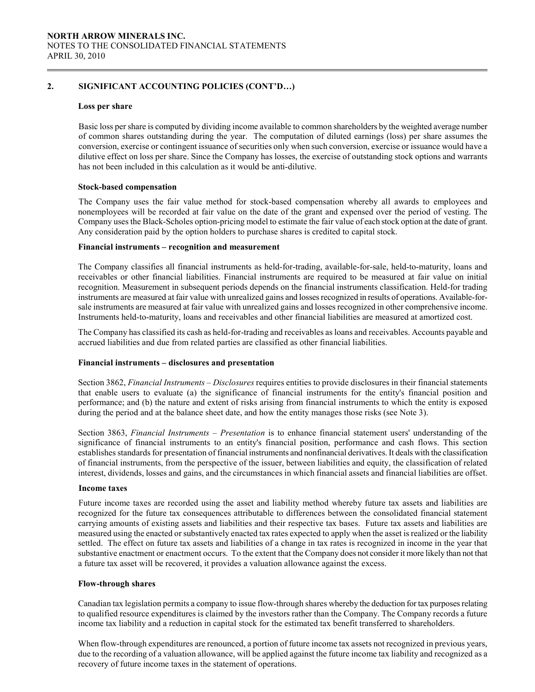### 2. SIGNIFICANT ACCOUNTING POLICIES (CONT'D…)

### Loss per share

 Basic loss per share is computed by dividing income available to common shareholders by the weighted average number of common shares outstanding during the year. The computation of diluted earnings (loss) per share assumes the conversion, exercise or contingent issuance of securities only when such conversion, exercise or issuance would have a dilutive effect on loss per share. Since the Company has losses, the exercise of outstanding stock options and warrants has not been included in this calculation as it would be anti-dilutive.

### Stock-based compensation

 The Company uses the fair value method for stock-based compensation whereby all awards to employees and nonemployees will be recorded at fair value on the date of the grant and expensed over the period of vesting. The Company uses the Black-Scholes option-pricing model to estimate the fair value of each stock option at the date of grant. Any consideration paid by the option holders to purchase shares is credited to capital stock.

### Financial instruments – recognition and measurement

The Company classifies all financial instruments as held-for-trading, available-for-sale, held-to-maturity, loans and receivables or other financial liabilities. Financial instruments are required to be measured at fair value on initial recognition. Measurement in subsequent periods depends on the financial instruments classification. Held-for trading instruments are measured at fair value with unrealized gains and losses recognized in results of operations. Available-forsale instruments are measured at fair value with unrealized gains and losses recognized in other comprehensive income. Instruments held-to-maturity, loans and receivables and other financial liabilities are measured at amortized cost.

The Company has classified its cash as held-for-trading and receivables as loans and receivables. Accounts payable and accrued liabilities and due from related parties are classified as other financial liabilities.

### Financial instruments – disclosures and presentation

Section 3862, Financial Instruments – Disclosures requires entities to provide disclosures in their financial statements that enable users to evaluate (a) the significance of financial instruments for the entity's financial position and performance; and (b) the nature and extent of risks arising from financial instruments to which the entity is exposed during the period and at the balance sheet date, and how the entity manages those risks (see Note 3).

Section 3863, Financial Instruments – Presentation is to enhance financial statement users' understanding of the significance of financial instruments to an entity's financial position, performance and cash flows. This section establishes standards for presentation of financial instruments and nonfinancial derivatives. It deals with the classification of financial instruments, from the perspective of the issuer, between liabilities and equity, the classification of related interest, dividends, losses and gains, and the circumstances in which financial assets and financial liabilities are offset.

#### Income taxes

 Future income taxes are recorded using the asset and liability method whereby future tax assets and liabilities are recognized for the future tax consequences attributable to differences between the consolidated financial statement carrying amounts of existing assets and liabilities and their respective tax bases. Future tax assets and liabilities are measured using the enacted or substantively enacted tax rates expected to apply when the asset is realized or the liability settled. The effect on future tax assets and liabilities of a change in tax rates is recognized in income in the year that substantive enactment or enactment occurs. To the extent that the Company does not consider it more likely than not that a future tax asset will be recovered, it provides a valuation allowance against the excess.

#### Flow-through shares

Canadian tax legislation permits a company to issue flow-through shares whereby the deduction for tax purposes relating to qualified resource expenditures is claimed by the investors rather than the Company. The Company records a future income tax liability and a reduction in capital stock for the estimated tax benefit transferred to shareholders.

When flow-through expenditures are renounced, a portion of future income tax assets not recognized in previous years, due to the recording of a valuation allowance, will be applied against the future income tax liability and recognized as a recovery of future income taxes in the statement of operations.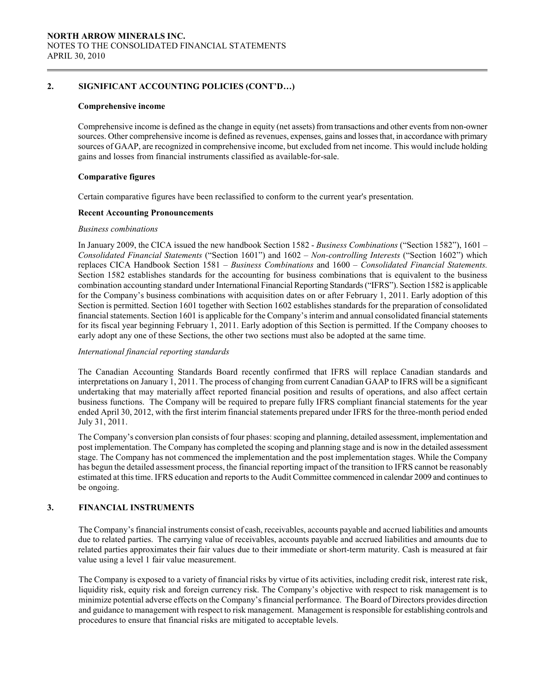### 2. SIGNIFICANT ACCOUNTING POLICIES (CONT'D…)

#### Comprehensive income

Comprehensive income is defined as the change in equity (net assets) from transactions and other events from non-owner sources. Other comprehensive income is defined as revenues, expenses, gains and losses that, in accordance with primary sources of GAAP, are recognized in comprehensive income, but excluded from net income. This would include holding gains and losses from financial instruments classified as available-for-sale.

### Comparative figures

Certain comparative figures have been reclassified to conform to the current year's presentation.

### Recent Accounting Pronouncements

#### Business combinations

In January 2009, the CICA issued the new handbook Section 1582 - Business Combinations ("Section 1582"), 1601 – Consolidated Financial Statements ("Section 1601") and 1602 – Non-controlling Interests ("Section 1602") which replaces CICA Handbook Section 1581 – Business Combinations and 1600 – Consolidated Financial Statements. Section 1582 establishes standards for the accounting for business combinations that is equivalent to the business combination accounting standard under International Financial Reporting Standards ("IFRS"). Section 1582 is applicable for the Company's business combinations with acquisition dates on or after February 1, 2011. Early adoption of this Section is permitted. Section 1601 together with Section 1602 establishes standards for the preparation of consolidated financial statements. Section 1601 is applicable for the Company's interim and annual consolidated financial statements for its fiscal year beginning February 1, 2011. Early adoption of this Section is permitted. If the Company chooses to early adopt any one of these Sections, the other two sections must also be adopted at the same time.

### International financial reporting standards

The Canadian Accounting Standards Board recently confirmed that IFRS will replace Canadian standards and interpretations on January 1, 2011. The process of changing from current Canadian GAAP to IFRS will be a significant undertaking that may materially affect reported financial position and results of operations, and also affect certain business functions. The Company will be required to prepare fully IFRS compliant financial statements for the year ended April 30, 2012, with the first interim financial statements prepared under IFRS for the three-month period ended July 31, 2011.

The Company's conversion plan consists of four phases: scoping and planning, detailed assessment, implementation and post implementation. The Company has completed the scoping and planning stage and is now in the detailed assessment stage. The Company has not commenced the implementation and the post implementation stages. While the Company has begun the detailed assessment process, the financial reporting impact of the transition to IFRS cannot be reasonably estimated at this time. IFRS education and reports to the Audit Committee commenced in calendar 2009 and continues to be ongoing.

### 3. FINANCIAL INSTRUMENTS

The Company's financial instruments consist of cash, receivables, accounts payable and accrued liabilities and amounts due to related parties. The carrying value of receivables, accounts payable and accrued liabilities and amounts due to related parties approximates their fair values due to their immediate or short-term maturity. Cash is measured at fair value using a level 1 fair value measurement.

 The Company is exposed to a variety of financial risks by virtue of its activities, including credit risk, interest rate risk, liquidity risk, equity risk and foreign currency risk. The Company's objective with respect to risk management is to minimize potential adverse effects on the Company's financial performance. The Board of Directors provides direction and guidance to management with respect to risk management. Management is responsible for establishing controls and procedures to ensure that financial risks are mitigated to acceptable levels.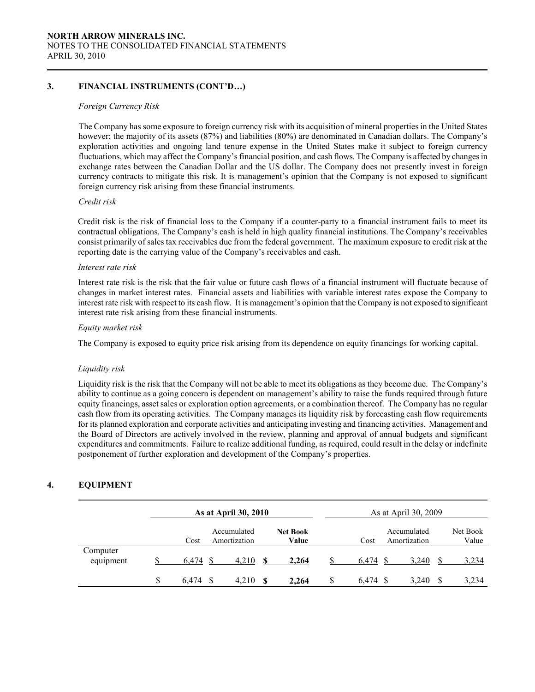### 3. FINANCIAL INSTRUMENTS (CONT'D…)

### Foreign Currency Risk

 The Company has some exposure to foreign currency risk with its acquisition of mineral properties in the United States however; the majority of its assets (87%) and liabilities (80%) are denominated in Canadian dollars. The Company's exploration activities and ongoing land tenure expense in the United States make it subject to foreign currency fluctuations, which may affect the Company's financial position, and cash flows. The Company is affected by changes in exchange rates between the Canadian Dollar and the US dollar. The Company does not presently invest in foreign currency contracts to mitigate this risk. It is management's opinion that the Company is not exposed to significant foreign currency risk arising from these financial instruments.

### Credit risk

Credit risk is the risk of financial loss to the Company if a counter-party to a financial instrument fails to meet its contractual obligations. The Company's cash is held in high quality financial institutions. The Company's receivables consist primarily of sales tax receivables due from the federal government. The maximum exposure to credit risk at the reporting date is the carrying value of the Company's receivables and cash.

#### Interest rate risk

Interest rate risk is the risk that the fair value or future cash flows of a financial instrument will fluctuate because of changes in market interest rates. Financial assets and liabilities with variable interest rates expose the Company to interest rate risk with respect to its cash flow. It is management's opinion that the Company is not exposed to significant interest rate risk arising from these financial instruments.

### Equity market risk

The Company is exposed to equity price risk arising from its dependence on equity financings for working capital.

### Liquidity risk

Liquidity risk is the risk that the Company will not be able to meet its obligations as they become due. The Company's ability to continue as a going concern is dependent on management's ability to raise the funds required through future equity financings, asset sales or exploration option agreements, or a combination thereof. The Company has no regular cash flow from its operating activities. The Company manages its liquidity risk by forecasting cash flow requirements for its planned exploration and corporate activities and anticipating investing and financing activities. Management and the Board of Directors are actively involved in the review, planning and approval of annual budgets and significant expenditures and commitments. Failure to realize additional funding, as required, could result in the delay or indefinite postponement of further exploration and development of the Company's properties.

### 4. EQUIPMENT

|                       | As at April 30, 2010 |       |                             |    |                          |   | As at April 30, 2009 |                             |    |                   |
|-----------------------|----------------------|-------|-----------------------------|----|--------------------------|---|----------------------|-----------------------------|----|-------------------|
|                       |                      | Cost  | Accumulated<br>Amortization |    | <b>Net Book</b><br>Value |   | Cost                 | Accumulated<br>Amortization |    | Net Book<br>Value |
| Computer<br>equipment |                      | 6.474 | 4,210                       |    | 2,264                    |   | 6.474                | 3,240                       |    | 3,234             |
|                       | S                    | 6.474 | 4,210                       | -S | 2,264                    | S | 6.474                | 3,240                       | -S | 3,234             |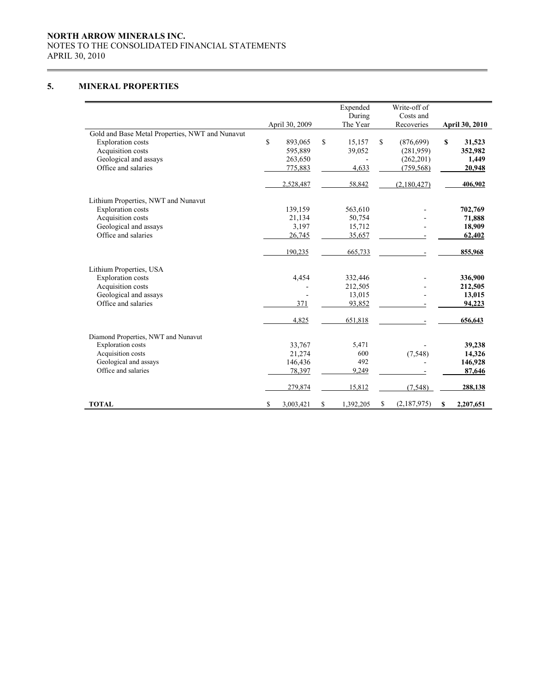### NORTH ARROW MINERALS INC. NOTES TO THE CONSOLIDATED FINANCIAL STATEMENTS APRIL 30, 2010

## 5. MINERAL PROPERTIES

 $\overline{a}$ 

|                                                 |                 | Expended        |    | Write-off of |                       |
|-------------------------------------------------|-----------------|-----------------|----|--------------|-----------------------|
|                                                 |                 | During          |    | Costs and    |                       |
|                                                 | April 30, 2009  | The Year        |    | Recoveries   | <b>April 30, 2010</b> |
| Gold and Base Metal Properties, NWT and Nunavut |                 |                 |    |              |                       |
| <b>Exploration costs</b>                        | \$<br>893,065   | \$<br>15,157    | \$ | (876, 699)   | \$<br>31,523          |
| Acquisition costs                               | 595,889         | 39,052          |    | (281,959)    | 352,982               |
| Geological and assays                           | 263,650         |                 |    | (262, 201)   | 1,449                 |
| Office and salaries                             | 775,883         | 4,633           |    | (759, 568)   | 20,948                |
|                                                 | 2,528,487       | 58,842          |    | (2,180,427)  | 406,902               |
| Lithium Properties, NWT and Nunavut             |                 |                 |    |              |                       |
| <b>Exploration costs</b>                        | 139,159         | 563,610         |    |              | 702,769               |
| Acquisition costs                               | 21,134          | 50,754          |    |              | 71,888                |
| Geological and assays                           | 3,197           | 15,712          |    |              | 18,909                |
| Office and salaries                             | 26,745          | 35,657          |    |              | 62,402                |
|                                                 | 190,235         | 665,733         |    |              | 855,968               |
| Lithium Properties, USA                         |                 |                 |    |              |                       |
| <b>Exploration costs</b>                        | 4,454           | 332,446         |    |              | 336,900               |
| Acquisition costs                               |                 | 212,505         |    |              | 212,505               |
| Geological and assays                           |                 | 13,015          |    |              | 13,015                |
| Office and salaries                             | 371             | 93,852          |    |              | 94,223                |
|                                                 | 4,825           | 651,818         |    |              | 656,643               |
| Diamond Properties, NWT and Nunavut             |                 |                 |    |              |                       |
| <b>Exploration</b> costs                        | 33,767          | 5,471           |    |              | 39,238                |
| Acquisition costs                               | 21,274          | 600             |    | (7, 548)     | 14,326                |
| Geological and assays                           | 146,436         | 492             |    |              | 146,928               |
| Office and salaries                             | 78,397          | 9,249           |    |              | 87,646                |
|                                                 | 279,874         | 15,812          |    | (7, 548)     | 288,138               |
| <b>TOTAL</b>                                    | \$<br>3,003,421 | \$<br>1,392,205 | S  | (2,187,975)  | \$<br>2,207,651       |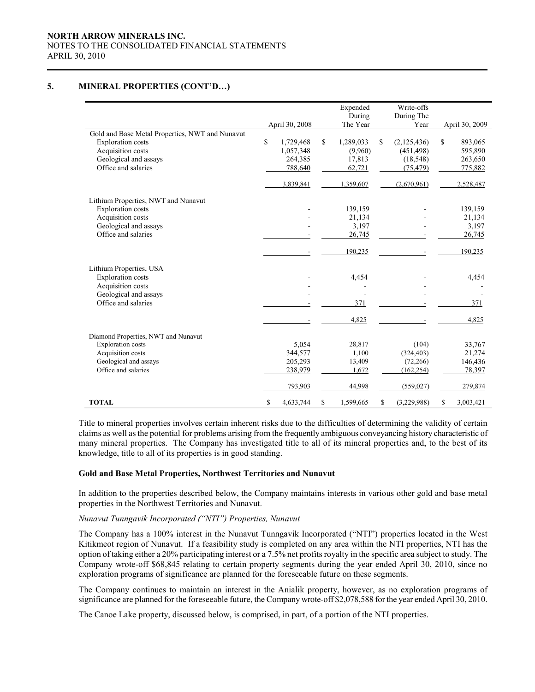### NORTH ARROW MINERALS INC. NOTES TO THE CONSOLIDATED FINANCIAL STATEMENTS APRIL 30, 2010

### 5. MINERAL PROPERTIES (CONT'D…)

 $\overline{a}$ 

|                                                 |                 | Expended        | Write-offs        |                 |
|-------------------------------------------------|-----------------|-----------------|-------------------|-----------------|
|                                                 |                 | During          | During The        |                 |
|                                                 | April 30, 2008  | The Year        | Year              | April 30, 2009  |
| Gold and Base Metal Properties, NWT and Nunavut |                 |                 |                   |                 |
| <b>Exploration</b> costs                        | \$<br>1,729,468 | \$<br>1,289,033 | \$<br>(2,125,436) | \$<br>893,065   |
| Acquisition costs                               | 1,057,348       | (9.960)         | (451, 498)        | 595,890         |
| Geological and assays                           | 264,385         | 17,813          | (18, 548)         | 263,650         |
| Office and salaries                             | 788,640         | 62,721          | (75, 479)         | 775,882         |
|                                                 | 3,839,841       | 1,359,607       | (2,670,961)       | 2,528,487       |
| Lithium Properties, NWT and Nunavut             |                 |                 |                   |                 |
| <b>Exploration</b> costs                        |                 | 139,159         |                   | 139,159         |
| Acquisition costs                               |                 | 21,134          |                   | 21,134          |
| Geological and assays                           |                 | 3,197           |                   | 3,197           |
| Office and salaries                             |                 | 26,745          |                   | 26,745          |
|                                                 |                 | 190,235         |                   | 190,235         |
| Lithium Properties, USA                         |                 |                 |                   |                 |
| <b>Exploration</b> costs                        |                 | 4,454           |                   | 4,454           |
| Acquisition costs                               |                 |                 |                   |                 |
| Geological and assays                           |                 |                 |                   |                 |
| Office and salaries                             |                 | 371             |                   | 371             |
|                                                 |                 | 4,825           |                   | 4,825           |
| Diamond Properties, NWT and Nunavut             |                 |                 |                   |                 |
| <b>Exploration</b> costs                        | 5,054           | 28,817          | (104)             | 33,767          |
| Acquisition costs                               | 344,577         | 1,100           | (324, 403)        | 21,274          |
| Geological and assays                           | 205,293         | 13,409          | (72,266)          | 146,436         |
| Office and salaries                             | 238,979         | 1,672           | (162, 254)        | 78,397          |
|                                                 | 793,903         | 44,998          | (559, 027)        | 279,874         |
| <b>TOTAL</b>                                    | \$<br>4,633,744 | \$<br>1,599,665 | \$<br>(3,229,988) | \$<br>3,003,421 |

Title to mineral properties involves certain inherent risks due to the difficulties of determining the validity of certain claims as well as the potential for problems arising from the frequently ambiguous conveyancing history characteristic of many mineral properties. The Company has investigated title to all of its mineral properties and, to the best of its knowledge, title to all of its properties is in good standing.

### Gold and Base Metal Properties, Northwest Territories and Nunavut

In addition to the properties described below, the Company maintains interests in various other gold and base metal properties in the Northwest Territories and Nunavut.

### Nunavut Tunngavik Incorporated ("NTI") Properties, Nunavut

The Company has a 100% interest in the Nunavut Tunngavik Incorporated ("NTI") properties located in the West Kitikmeot region of Nunavut. If a feasibility study is completed on any area within the NTI properties, NTI has the option of taking either a 20% participating interest or a 7.5% net profits royalty in the specific area subject to study. The Company wrote-off \$68,845 relating to certain property segments during the year ended April 30, 2010, since no exploration programs of significance are planned for the foreseeable future on these segments.

The Company continues to maintain an interest in the Anialik property, however, as no exploration programs of significance are planned for the foreseeable future, the Company wrote-off \$2,078,588 for the year ended April 30, 2010.

The Canoe Lake property, discussed below, is comprised, in part, of a portion of the NTI properties.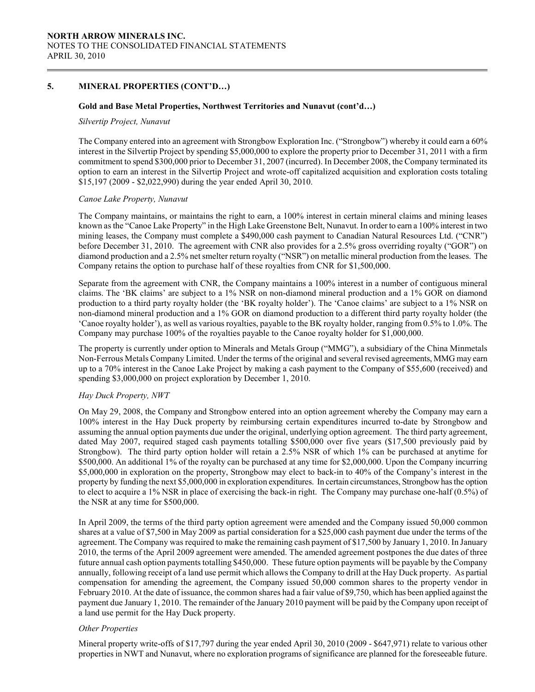### 5. MINERAL PROPERTIES (CONT'D…)

#### Gold and Base Metal Properties, Northwest Territories and Nunavut (cont'd…)

#### Silvertip Project, Nunavut

The Company entered into an agreement with Strongbow Exploration Inc. ("Strongbow") whereby it could earn a 60% interest in the Silvertip Project by spending \$5,000,000 to explore the property prior to December 31, 2011 with a firm commitment to spend \$300,000 prior to December 31, 2007 (incurred). In December 2008, the Company terminated its option to earn an interest in the Silvertip Project and wrote-off capitalized acquisition and exploration costs totaling \$15,197 (2009 - \$2,022,990) during the year ended April 30, 2010.

#### Canoe Lake Property, Nunavut

 The Company maintains, or maintains the right to earn, a 100% interest in certain mineral claims and mining leases known as the "Canoe Lake Property" in the High Lake Greenstone Belt, Nunavut. In order to earn a 100% interest in two mining leases, the Company must complete a \$490,000 cash payment to Canadian Natural Resources Ltd. ("CNR") before December 31, 2010. The agreement with CNR also provides for a 2.5% gross overriding royalty ("GOR") on diamond production and a 2.5% net smelter return royalty ("NSR") on metallic mineral production from the leases. The Company retains the option to purchase half of these royalties from CNR for \$1,500,000.

 Separate from the agreement with CNR, the Company maintains a 100% interest in a number of contiguous mineral claims. The 'BK claims' are subject to a 1% NSR on non-diamond mineral production and a 1% GOR on diamond production to a third party royalty holder (the 'BK royalty holder'). The 'Canoe claims' are subject to a 1% NSR on non-diamond mineral production and a 1% GOR on diamond production to a different third party royalty holder (the 'Canoe royalty holder'), as well as various royalties, payable to the BK royalty holder, ranging from 0.5% to 1.0%. The Company may purchase 100% of the royalties payable to the Canoe royalty holder for \$1,000,000.

The property is currently under option to Minerals and Metals Group ("MMG"), a subsidiary of the China Minmetals Non-Ferrous Metals Company Limited. Under the terms of the original and several revised agreements, MMG may earn up to a 70% interest in the Canoe Lake Project by making a cash payment to the Company of \$55,600 (received) and spending \$3,000,000 on project exploration by December 1, 2010.

#### Hay Duck Property, NWT

On May 29, 2008, the Company and Strongbow entered into an option agreement whereby the Company may earn a 100% interest in the Hay Duck property by reimbursing certain expenditures incurred to-date by Strongbow and assuming the annual option payments due under the original, underlying option agreement. The third party agreement, dated May 2007, required staged cash payments totalling \$500,000 over five years (\$17,500 previously paid by Strongbow). The third party option holder will retain a 2.5% NSR of which 1% can be purchased at anytime for \$500,000. An additional 1% of the royalty can be purchased at any time for \$2,000,000. Upon the Company incurring \$5,000,000 in exploration on the property, Strongbow may elect to back-in to 40% of the Company's interest in the property by funding the next \$5,000,000 in exploration expenditures. In certain circumstances, Strongbow has the option to elect to acquire a 1% NSR in place of exercising the back-in right. The Company may purchase one-half (0.5%) of the NSR at any time for \$500,000.

In April 2009, the terms of the third party option agreement were amended and the Company issued 50,000 common shares at a value of \$7,500 in May 2009 as partial consideration for a \$25,000 cash payment due under the terms of the agreement. The Company was required to make the remaining cash payment of \$17,500 by January 1, 2010. In January 2010, the terms of the April 2009 agreement were amended. The amended agreement postpones the due dates of three future annual cash option payments totalling \$450,000. These future option payments will be payable by the Company annually, following receipt of a land use permit which allows the Company to drill at the Hay Duck property. As partial compensation for amending the agreement, the Company issued 50,000 common shares to the property vendor in February 2010. At the date of issuance, the common shares had a fair value of \$9,750, which has been applied against the payment due January 1, 2010. The remainder of the January 2010 payment will be paid by the Company upon receipt of a land use permit for the Hay Duck property.

#### Other Properties

Mineral property write-offs of \$17,797 during the year ended April 30, 2010 (2009 - \$647,971) relate to various other properties in NWT and Nunavut, where no exploration programs of significance are planned for the foreseeable future.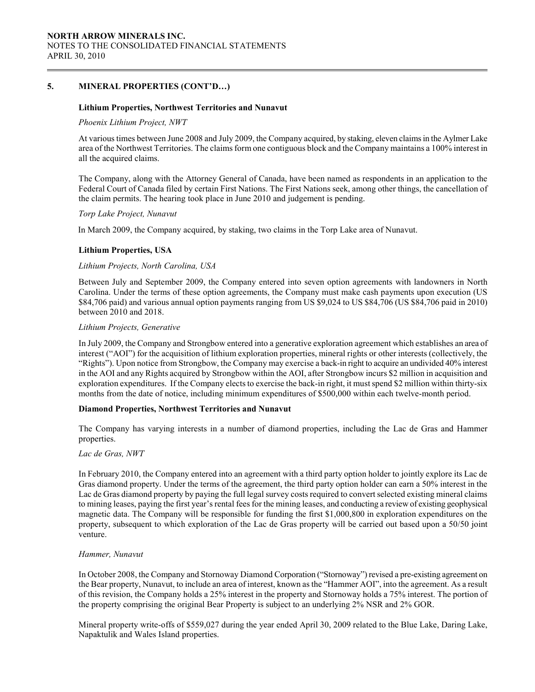### 5. MINERAL PROPERTIES (CONT'D…)

#### Lithium Properties, Northwest Territories and Nunavut

#### Phoenix Lithium Project, NWT

At various times between June 2008 and July 2009, the Company acquired, by staking, eleven claims in the Aylmer Lake area of the Northwest Territories. The claims form one contiguous block and the Company maintains a 100% interest in all the acquired claims.

The Company, along with the Attorney General of Canada, have been named as respondents in an application to the Federal Court of Canada filed by certain First Nations. The First Nations seek, among other things, the cancellation of the claim permits. The hearing took place in June 2010 and judgement is pending.

#### Torp Lake Project, Nunavut

In March 2009, the Company acquired, by staking, two claims in the Torp Lake area of Nunavut.

#### Lithium Properties, USA

#### Lithium Projects, North Carolina, USA

Between July and September 2009, the Company entered into seven option agreements with landowners in North Carolina. Under the terms of these option agreements, the Company must make cash payments upon execution (US \$84,706 paid) and various annual option payments ranging from US \$9,024 to US \$84,706 (US \$84,706 paid in 2010) between 2010 and 2018.

#### Lithium Projects, Generative

In July 2009, the Company and Strongbow entered into a generative exploration agreement which establishes an area of interest ("AOI") for the acquisition of lithium exploration properties, mineral rights or other interests (collectively, the "Rights"). Upon notice from Strongbow, the Company may exercise a back-in right to acquire an undivided 40% interest in the AOI and any Rights acquired by Strongbow within the AOI, after Strongbow incurs \$2 million in acquisition and exploration expenditures. If the Company elects to exercise the back-in right, it must spend \$2 million within thirty-six months from the date of notice, including minimum expenditures of \$500,000 within each twelve-month period.

### Diamond Properties, Northwest Territories and Nunavut

The Company has varying interests in a number of diamond properties, including the Lac de Gras and Hammer properties.

#### Lac de Gras, NWT

In February 2010, the Company entered into an agreement with a third party option holder to jointly explore its Lac de Gras diamond property. Under the terms of the agreement, the third party option holder can earn a 50% interest in the Lac de Gras diamond property by paying the full legal survey costs required to convert selected existing mineral claims to mining leases, paying the first year's rental fees for the mining leases, and conducting a review of existing geophysical magnetic data. The Company will be responsible for funding the first \$1,000,800 in exploration expenditures on the property, subsequent to which exploration of the Lac de Gras property will be carried out based upon a 50/50 joint venture.

#### Hammer, Nunavut

In October 2008, the Company and Stornoway Diamond Corporation ("Stornoway") revised a pre-existing agreement on the Bear property, Nunavut, to include an area of interest, known as the "Hammer AOI", into the agreement. As a result of this revision, the Company holds a 25% interest in the property and Stornoway holds a 75% interest. The portion of the property comprising the original Bear Property is subject to an underlying 2% NSR and 2% GOR.

Mineral property write-offs of \$559,027 during the year ended April 30, 2009 related to the Blue Lake, Daring Lake, Napaktulik and Wales Island properties.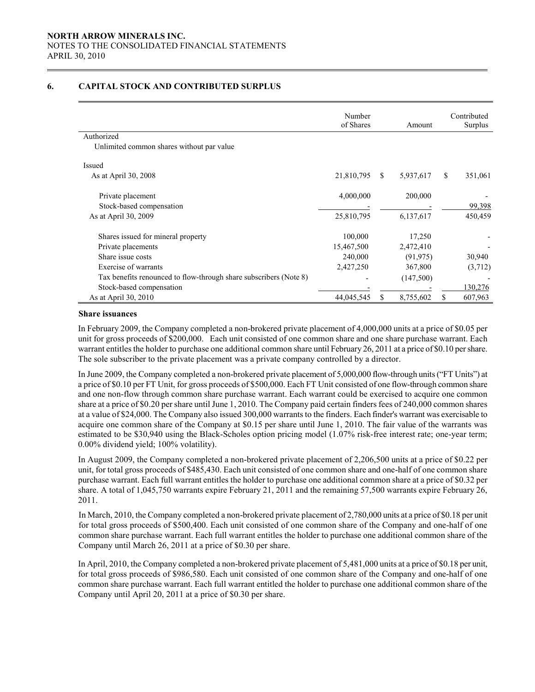### 6. CAPITAL STOCK AND CONTRIBUTED SURPLUS

|                                                                   | Number<br>of Shares |               | Amount    |    | Contributed<br>Surplus |
|-------------------------------------------------------------------|---------------------|---------------|-----------|----|------------------------|
| Authorized                                                        |                     |               |           |    |                        |
| Unlimited common shares without par value                         |                     |               |           |    |                        |
| Issued                                                            |                     |               |           |    |                        |
| As at April 30, 2008                                              | 21,810,795          | <sup>\$</sup> | 5,937,617 | S. | 351,061                |
| Private placement                                                 | 4,000,000           |               | 200,000   |    |                        |
| Stock-based compensation                                          |                     |               |           |    | 99,398                 |
| As at April 30, 2009                                              | 25,810,795          |               | 6,137,617 |    | 450,459                |
| Shares issued for mineral property                                | 100,000             |               | 17,250    |    |                        |
| Private placements                                                | 15,467,500          |               | 2,472,410 |    |                        |
| Share issue costs                                                 | 240,000             |               | (91, 975) |    | 30,940                 |
| Exercise of warrants                                              | 2,427,250           |               | 367,800   |    | (3,712)                |
| Tax benefits renounced to flow-through share subscribers (Note 8) |                     |               | (147,500) |    |                        |
| Stock-based compensation                                          |                     |               |           |    | 130,276                |
| As at April 30, 2010                                              | 44,045,545          | S             | 8,755,602 | \$ | 607,963                |

#### Share issuances

 $\overline{a}$ 

In February 2009, the Company completed a non-brokered private placement of 4,000,000 units at a price of \$0.05 per unit for gross proceeds of \$200,000. Each unit consisted of one common share and one share purchase warrant. Each warrant entitles the holder to purchase one additional common share until February 26, 2011 at a price of \$0.10 per share. The sole subscriber to the private placement was a private company controlled by a director.

In June 2009, the Company completed a non-brokered private placement of 5,000,000 flow-through units ("FT Units") at a price of \$0.10 per FT Unit, for gross proceeds of \$500,000. Each FT Unit consisted of one flow-through common share and one non-flow through common share purchase warrant. Each warrant could be exercised to acquire one common share at a price of \$0.20 per share until June 1, 2010. The Company paid certain finders fees of 240,000 common shares at a value of \$24,000. The Company also issued 300,000 warrants to the finders. Each finder's warrant was exercisable to acquire one common share of the Company at \$0.15 per share until June 1, 2010. The fair value of the warrants was estimated to be \$30,940 using the Black-Scholes option pricing model (1.07% risk-free interest rate; one-year term; 0.00% dividend yield; 100% volatility).

In August 2009, the Company completed a non-brokered private placement of 2,206,500 units at a price of \$0.22 per unit, for total gross proceeds of \$485,430. Each unit consisted of one common share and one-half of one common share purchase warrant. Each full warrant entitles the holder to purchase one additional common share at a price of \$0.32 per share. A total of 1,045,750 warrants expire February 21, 2011 and the remaining 57,500 warrants expire February 26, 2011.

In March, 2010, the Company completed a non-brokered private placement of 2,780,000 units at a price of \$0.18 per unit for total gross proceeds of \$500,400. Each unit consisted of one common share of the Company and one-half of one common share purchase warrant. Each full warrant entitles the holder to purchase one additional common share of the Company until March 26, 2011 at a price of \$0.30 per share.

In April, 2010, the Company completed a non-brokered private placement of 5,481,000 units at a price of \$0.18 per unit, for total gross proceeds of \$986,580. Each unit consisted of one common share of the Company and one-half of one common share purchase warrant. Each full warrant entitled the holder to purchase one additional common share of the Company until April 20, 2011 at a price of \$0.30 per share.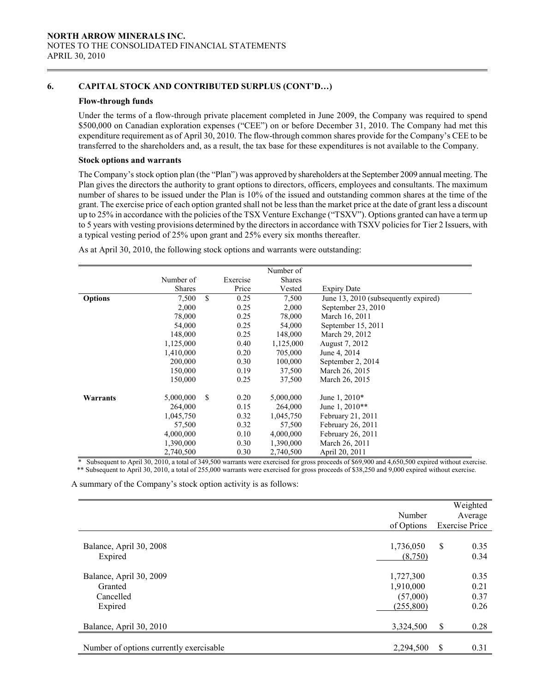## 6. CAPITAL STOCK AND CONTRIBUTED SURPLUS (CONT'D…)

#### Flow-through funds

Under the terms of a flow-through private placement completed in June 2009, the Company was required to spend \$500,000 on Canadian exploration expenses ("CEE") on or before December 31, 2010. The Company had met this expenditure requirement as of April 30, 2010. The flow-through common shares provide for the Company's CEE to be transferred to the shareholders and, as a result, the tax base for these expenditures is not available to the Company.

### Stock options and warrants

 The Company's stock option plan (the "Plan") was approved by shareholders at the September 2009 annual meeting. The Plan gives the directors the authority to grant options to directors, officers, employees and consultants. The maximum number of shares to be issued under the Plan is 10% of the issued and outstanding common shares at the time of the grant. The exercise price of each option granted shall not be less than the market price at the date of grant less a discount up to 25% in accordance with the policies of the TSX Venture Exchange ("TSXV"). Options granted can have a term up to 5 years with vesting provisions determined by the directors in accordance with TSXV policies for Tier 2 Issuers, with a typical vesting period of 25% upon grant and 25% every six months thereafter.

|                |                      |          | Number of |                                      |
|----------------|----------------------|----------|-----------|--------------------------------------|
|                | Number of            | Exercise | Shares    |                                      |
|                | <b>Shares</b>        | Price    | Vested    | <b>Expiry Date</b>                   |
| <b>Options</b> | \$<br>7,500          | 0.25     | 7,500     | June 13, 2010 (subsequently expired) |
|                | 2,000                | 0.25     | 2,000     | September 23, 2010                   |
|                | 78,000               | 0.25     | 78,000    | March 16, 2011                       |
|                | 54,000               | 0.25     | 54,000    | September 15, 2011                   |
|                | 148,000              | 0.25     | 148,000   | March 29, 2012                       |
|                | 1,125,000            | 0.40     | 1,125,000 | August 7, 2012                       |
|                | 1,410,000            | 0.20     | 705,000   | June 4, 2014                         |
|                | 200,000              | 0.30     | 100,000   | September 2, 2014                    |
|                | 150,000              | 0.19     | 37,500    | March 26, 2015                       |
|                | 150,000              | 0.25     | 37,500    | March 26, 2015                       |
| Warrants       | 5,000,000<br>\$      | 0.20     | 5,000,000 | June 1, 2010*                        |
|                | 264,000              | 0.15     | 264,000   | June 1, 2010**                       |
|                | 1,045,750            | 0.32     | 1,045,750 | February 21, 2011                    |
|                | 57,500               | 0.32     | 57,500    | February 26, 2011                    |
|                | 4,000,000            | 0.10     | 4,000,000 | February 26, 2011                    |
|                | 1,390,000            | 0.30     | 1,390,000 | March 26, 2011                       |
|                | 2,740,500            | 0.30     | 2,740,500 | April 20, 2011                       |
| $\sim$ 1       | 10000101<br>0.10.500 |          |           | .<br>1.4.750.500<br>0.00000          |

As at April 30, 2010, the following stock options and warrants were outstanding:

 \* Subsequent to April 30, 2010, a total of 349,500 warrants were exercised for gross proceeds of \$69,900 and 4,650,500 expired without exercise. \*\* Subsequent to April 30, 2010, a total of 255,000 warrants were exercised for gross proceeds of \$38,250 and 9,000 expired without exercise.

A summary of the Company's stock option activity is as follows:

|                                         | Number     | Weighted<br>Average   |
|-----------------------------------------|------------|-----------------------|
|                                         | of Options | <b>Exercise Price</b> |
|                                         |            |                       |
| Balance, April 30, 2008                 | 1,736,050  | \$<br>0.35            |
| Expired                                 | (8,750)    | 0.34                  |
|                                         |            |                       |
| Balance, April 30, 2009                 | 1,727,300  | 0.35                  |
| Granted                                 | 1,910,000  | 0.21                  |
| Cancelled                               | (57,000)   | 0.37                  |
| Expired                                 | (255,800)  | 0.26                  |
|                                         |            |                       |
| Balance, April 30, 2010                 | 3,324,500  | \$<br>0.28            |
|                                         |            |                       |
| Number of options currently exercisable | 2,294,500  | \$<br>0.31            |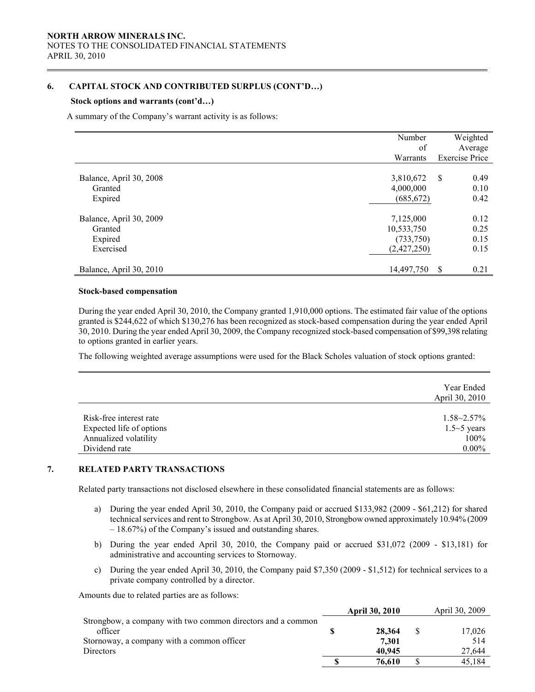## 6. CAPITAL STOCK AND CONTRIBUTED SURPLUS (CONT'D…)

#### Stock options and warrants (cont'd…)

 $\overline{a}$ 

A summary of the Company's warrant activity is as follows:

|                         | Number      | Weighted              |
|-------------------------|-------------|-----------------------|
|                         | of          | Average               |
|                         | Warrants    | <b>Exercise Price</b> |
|                         |             |                       |
| Balance, April 30, 2008 | 3,810,672   | \$<br>0.49            |
| Granted                 | 4,000,000   | 0.10                  |
| Expired                 | (685, 672)  | 0.42                  |
| Balance, April 30, 2009 | 7,125,000   | 0.12                  |
| Granted                 | 10,533,750  | 0.25                  |
| Expired                 | (733, 750)  | 0.15                  |
| Exercised               | (2,427,250) | 0.15                  |
| Balance, April 30, 2010 | 14,497,750  | S<br>0.21             |

#### Stock-based compensation

 During the year ended April 30, 2010, the Company granted 1,910,000 options. The estimated fair value of the options granted is \$244,622 of which \$130,276 has been recognized as stock-based compensation during the year ended April 30, 2010. During the year ended April 30, 2009, the Company recognized stock-based compensation of \$99,398 relating to options granted in earlier years.

The following weighted average assumptions were used for the Black Scholes valuation of stock options granted:

|                          | Year Ended<br>April 30, 2010 |
|--------------------------|------------------------------|
| Risk-free interest rate  | $1.58 - 2.57\%$              |
| Expected life of options | $1.5 \sim 5$ years           |
| Annualized volatility    | 100%                         |
| Dividend rate            | $0.00\%$                     |

### 7. RELATED PARTY TRANSACTIONS

Related party transactions not disclosed elsewhere in these consolidated financial statements are as follows:

- a) During the year ended April 30, 2010, the Company paid or accrued \$133,982 (2009 \$61,212) for shared technical services and rent to Strongbow. As at April 30, 2010, Strongbow owned approximately 10.94% (2009 – 18.67%) of the Company's issued and outstanding shares.
- b) During the year ended April 30, 2010, the Company paid or accrued \$31,072 (2009 \$13,181) for administrative and accounting services to Stornoway.
- c) During the year ended April 30, 2010, the Company paid \$7,350 (2009 \$1,512) for technical services to a private company controlled by a director.

Amounts due to related parties are as follows:

|                                                             | <b>April 30, 2010</b> | April 30, 2009 |
|-------------------------------------------------------------|-----------------------|----------------|
| Strongbow, a company with two common directors and a common |                       |                |
| officer                                                     | 28,364                | 17,026         |
| Stornoway, a company with a common officer                  | 7.301                 | 514            |
| <b>Directors</b>                                            | 40,945                | 27.644         |
|                                                             | 76.610                | 45.184         |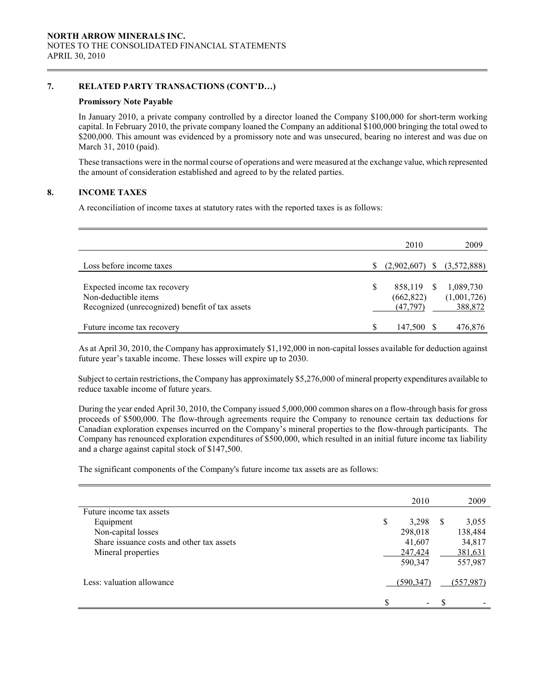### 7. RELATED PARTY TRANSACTIONS (CONT'D…)

### Promissory Note Payable

In January 2010, a private company controlled by a director loaned the Company \$100,000 for short-term working capital. In February 2010, the private company loaned the Company an additional \$100,000 bringing the total owed to \$200,000. This amount was evidenced by a promissory note and was unsecured, bearing no interest and was due on March 31, 2010 (paid).

 These transactions were in the normal course of operations and were measured at the exchange value, which represented the amount of consideration established and agreed to by the related parties.

### 8. INCOME TAXES

 $\overline{a}$ 

A reconciliation of income taxes at statutory rates with the reported taxes is as follows:

|                                                                                                         |   | 2010                               |              | 2009                                |
|---------------------------------------------------------------------------------------------------------|---|------------------------------------|--------------|-------------------------------------|
| Loss before income taxes                                                                                |   | (2,902,607)                        | S            | (3,572,888)                         |
| Expected income tax recovery<br>Non-deductible items<br>Recognized (unrecognized) benefit of tax assets | S | 858,119<br>(662, 822)<br>(47, 797) | <sup>S</sup> | 1,089,730<br>(1,001,726)<br>388,872 |
| Future income tax recovery                                                                              | S | 147,500                            |              | 476,876                             |

 As at April 30, 2010, the Company has approximately \$1,192,000 in non-capital losses available for deduction against future year's taxable income. These losses will expire up to 2030.

Subject to certain restrictions, the Company has approximately \$5,276,000 of mineral property expenditures available to reduce taxable income of future years.

During the year ended April 30, 2010, the Company issued 5,000,000 common shares on a flow-through basis for gross proceeds of \$500,000. The flow-through agreements require the Company to renounce certain tax deductions for Canadian exploration expenses incurred on the Company's mineral properties to the flow-through participants. The Company has renounced exploration expenditures of \$500,000, which resulted in an initial future income tax liability and a charge against capital stock of \$147,500.

The significant components of the Company's future income tax assets are as follows:

|                                           | 2010                           |    | 2009      |
|-------------------------------------------|--------------------------------|----|-----------|
| Future income tax assets                  |                                |    |           |
| Equipment                                 | \$<br>3,298                    | -S | 3,055     |
| Non-capital losses                        | 298,018                        |    | 138,484   |
| Share issuance costs and other tax assets | 41,607                         |    | 34,817    |
| Mineral properties                        | 247,424                        |    | 381,631   |
|                                           | 590,347                        |    | 557,987   |
| Less: valuation allowance                 | (590,347)                      |    | (557.987) |
|                                           | \$<br>$\overline{\phantom{0}}$ | \$ |           |